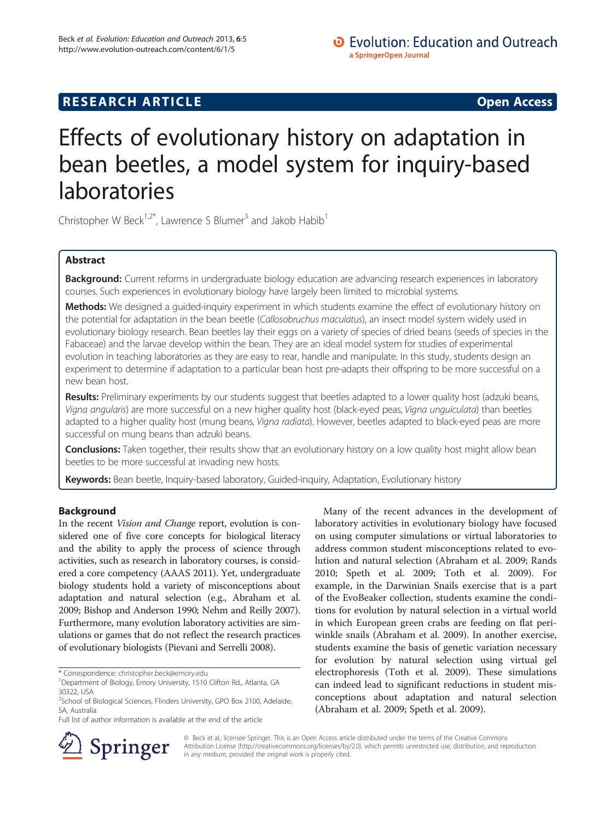# **RESEARCH ARTICLE Example 2014 12:30 The SEAR CHIPS 2014 12:30 The Open Access**

# Effects of evolutionary history on adaptation in bean beetles, a model system for inquiry-based laboratories

Christopher W Beck<sup>1,2\*</sup>, Lawrence S Blumer<sup>3</sup> and Jakob Habib<sup>1</sup>

# Abstract

Background: Current reforms in undergraduate biology education are advancing research experiences in laboratory courses. Such experiences in evolutionary biology have largely been limited to microbial systems.

Methods: We designed a guided-inquiry experiment in which students examine the effect of evolutionary history on the potential for adaptation in the bean beetle (Callosobruchus maculatus), an insect model system widely used in evolutionary biology research. Bean beetles lay their eggs on a variety of species of dried beans (seeds of species in the Fabaceae) and the larvae develop within the bean. They are an ideal model system for studies of experimental evolution in teaching laboratories as they are easy to rear, handle and manipulate. In this study, students design an experiment to determine if adaptation to a particular bean host pre-adapts their offspring to be more successful on a new bean host.

Results: Preliminary experiments by our students suggest that beetles adapted to a lower quality host (adzuki beans, Vigna angularis) are more successful on a new higher quality host (black-eyed peas, Vigna unguiculata) than beetles adapted to a higher quality host (mung beans, Vigna radiata). However, beetles adapted to black-eyed peas are more successful on mung beans than adzuki beans.

Conclusions: Taken together, their results show that an evolutionary history on a low quality host might allow bean beetles to be more successful at invading new hosts.

Keywords: Bean beetle, Inquiry-based laboratory, Guided-inquiry, Adaptation, Evolutionary history

# Background

In the recent Vision and Change report, evolution is considered one of five core concepts for biological literacy and the ability to apply the process of science through activities, such as research in laboratory courses, is considered a core competency (AAAS [2011\)](#page-5-0). Yet, undergraduate biology students hold a variety of misconceptions about adaptation and natural selection (e.g., Abraham et al. [2009;](#page-5-0) Bishop and Anderson [1990](#page-5-0); Nehm and Reilly [2007](#page-5-0)). Furthermore, many evolution laboratory activities are simulations or games that do not reflect the research practices of evolutionary biologists (Pievani and Serrelli [2008](#page-5-0)).

Full list of author information is available at the end of the article

Many of the recent advances in the development of laboratory activities in evolutionary biology have focused on using computer simulations or virtual laboratories to address common student misconceptions related to evolution and natural selection (Abraham et al. [2009](#page-5-0); Rands [2010](#page-5-0); Speth et al. [2009](#page-5-0); Toth et al. [2009](#page-5-0)). For example, in the Darwinian Snails exercise that is a part of the EvoBeaker collection, students examine the conditions for evolution by natural selection in a virtual world in which European green crabs are feeding on flat periwinkle snails (Abraham et al. [2009](#page-5-0)). In another exercise, students examine the basis of genetic variation necessary for evolution by natural selection using virtual gel electrophoresis (Toth et al. [2009](#page-5-0)). These simulations can indeed lead to significant reductions in student misconceptions about adaptation and natural selection (Abraham et al. [2009](#page-5-0); Speth et al. [2009](#page-5-0)).



© Beck et al.; licensee Springer. This is an Open Access article distributed under the terms of the Creative Commons Attribution License [\(http://creativecommons.org/licenses/by/2.0\)](http://creativecommons.org/licenses/by/2.0), which permits unrestricted use, distribution, and reproduction in any medium, provided the original work is properly cited.

<sup>\*</sup> Correspondence: [christopher.beck@emory.edu](mailto:christopher.beck@emory.edu) <sup>1</sup>

<sup>&</sup>lt;sup>1</sup>Department of Biology, Emory University, 1510 Clifton Rd., Atlanta, GA 30322, USA

<sup>&</sup>lt;sup>2</sup>School of Biological Sciences, Flinders University, GPO Box 2100, Adelaide, SA, Australia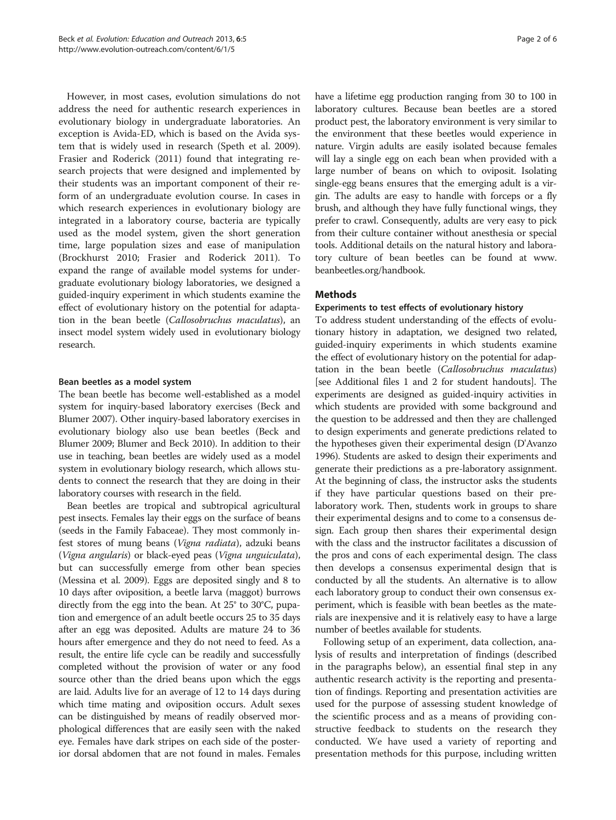However, in most cases, evolution simulations do not address the need for authentic research experiences in evolutionary biology in undergraduate laboratories. An exception is Avida-ED, which is based on the Avida system that is widely used in research (Speth et al. [2009](#page-5-0)). Frasier and Roderick [\(2011\)](#page-5-0) found that integrating research projects that were designed and implemented by their students was an important component of their reform of an undergraduate evolution course. In cases in which research experiences in evolutionary biology are integrated in a laboratory course, bacteria are typically used as the model system, given the short generation time, large population sizes and ease of manipulation (Brockhurst [2010;](#page-5-0) Frasier and Roderick [2011\)](#page-5-0). To expand the range of available model systems for undergraduate evolutionary biology laboratories, we designed a guided-inquiry experiment in which students examine the effect of evolutionary history on the potential for adaptation in the bean beetle (Callosobruchus maculatus), an insect model system widely used in evolutionary biology research.

#### Bean beetles as a model system

The bean beetle has become well-established as a model system for inquiry-based laboratory exercises (Beck and Blumer [2007](#page-5-0)). Other inquiry-based laboratory exercises in evolutionary biology also use bean beetles (Beck and Blumer [2009](#page-5-0); Blumer and Beck [2010](#page-5-0)). In addition to their use in teaching, bean beetles are widely used as a model system in evolutionary biology research, which allows students to connect the research that they are doing in their laboratory courses with research in the field.

Bean beetles are tropical and subtropical agricultural pest insects. Females lay their eggs on the surface of beans (seeds in the Family Fabaceae). They most commonly infest stores of mung beans (Vigna radiata), adzuki beans (Vigna angularis) or black-eyed peas (Vigna unguiculata), but can successfully emerge from other bean species (Messina et al. [2009](#page-5-0)). Eggs are deposited singly and 8 to 10 days after oviposition, a beetle larva (maggot) burrows directly from the egg into the bean. At 25° to 30°C, pupation and emergence of an adult beetle occurs 25 to 35 days after an egg was deposited. Adults are mature 24 to 36 hours after emergence and they do not need to feed. As a result, the entire life cycle can be readily and successfully completed without the provision of water or any food source other than the dried beans upon which the eggs are laid. Adults live for an average of 12 to 14 days during which time mating and oviposition occurs. Adult sexes can be distinguished by means of readily observed morphological differences that are easily seen with the naked eye. Females have dark stripes on each side of the posterior dorsal abdomen that are not found in males. Females have a lifetime egg production ranging from 30 to 100 in laboratory cultures. Because bean beetles are a stored product pest, the laboratory environment is very similar to the environment that these beetles would experience in nature. Virgin adults are easily isolated because females will lay a single egg on each bean when provided with a large number of beans on which to oviposit. Isolating single-egg beans ensures that the emerging adult is a virgin. The adults are easy to handle with forceps or a fly brush, and although they have fully functional wings, they prefer to crawl. Consequently, adults are very easy to pick from their culture container without anesthesia or special tools. Additional details on the natural history and laboratory culture of bean beetles can be found at [www.](http://www.beanbeetles.org/handbook) [beanbeetles.org/handbook](http://www.beanbeetles.org/handbook).

# **Methods**

# Experiments to test effects of evolutionary history

To address student understanding of the effects of evolutionary history in adaptation, we designed two related, guided-inquiry experiments in which students examine the effect of evolutionary history on the potential for adaptation in the bean beetle (Callosobruchus maculatus) [see Additional files [1](#page-5-0) and [2](#page-5-0) for student handouts]. The experiments are designed as guided-inquiry activities in which students are provided with some background and the question to be addressed and then they are challenged to design experiments and generate predictions related to the hypotheses given their experimental design (D'Avanzo [1996](#page-5-0)). Students are asked to design their experiments and generate their predictions as a pre-laboratory assignment. At the beginning of class, the instructor asks the students if they have particular questions based on their prelaboratory work. Then, students work in groups to share their experimental designs and to come to a consensus design. Each group then shares their experimental design with the class and the instructor facilitates a discussion of the pros and cons of each experimental design. The class then develops a consensus experimental design that is conducted by all the students. An alternative is to allow each laboratory group to conduct their own consensus experiment, which is feasible with bean beetles as the materials are inexpensive and it is relatively easy to have a large number of beetles available for students.

Following setup of an experiment, data collection, analysis of results and interpretation of findings (described in the paragraphs below), an essential final step in any authentic research activity is the reporting and presentation of findings. Reporting and presentation activities are used for the purpose of assessing student knowledge of the scientific process and as a means of providing constructive feedback to students on the research they conducted. We have used a variety of reporting and presentation methods for this purpose, including written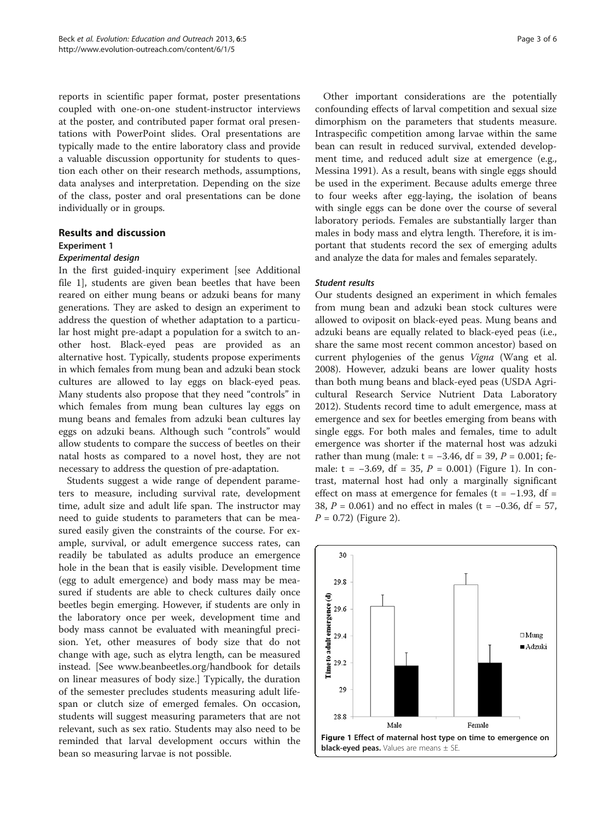reports in scientific paper format, poster presentations coupled with one-on-one student-instructor interviews at the poster, and contributed paper format oral presentations with PowerPoint slides. Oral presentations are typically made to the entire laboratory class and provide a valuable discussion opportunity for students to question each other on their research methods, assumptions, data analyses and interpretation. Depending on the size of the class, poster and oral presentations can be done individually or in groups.

# Results and discussion

#### Experiment 1

#### Experimental design

In the first guided-inquiry experiment [see Additional file [1\]](#page-5-0), students are given bean beetles that have been reared on either mung beans or adzuki beans for many generations. They are asked to design an experiment to address the question of whether adaptation to a particular host might pre-adapt a population for a switch to another host. Black-eyed peas are provided as an alternative host. Typically, students propose experiments in which females from mung bean and adzuki bean stock cultures are allowed to lay eggs on black-eyed peas. Many students also propose that they need "controls" in which females from mung bean cultures lay eggs on mung beans and females from adzuki bean cultures lay eggs on adzuki beans. Although such "controls" would allow students to compare the success of beetles on their natal hosts as compared to a novel host, they are not necessary to address the question of pre-adaptation.

Students suggest a wide range of dependent parameters to measure, including survival rate, development time, adult size and adult life span. The instructor may need to guide students to parameters that can be measured easily given the constraints of the course. For example, survival, or adult emergence success rates, can readily be tabulated as adults produce an emergence hole in the bean that is easily visible. Development time (egg to adult emergence) and body mass may be measured if students are able to check cultures daily once beetles begin emerging. However, if students are only in the laboratory once per week, development time and body mass cannot be evaluated with meaningful precision. Yet, other measures of body size that do not change with age, such as elytra length, can be measured instead. [See [www.beanbeetles.org/handbook](http://www.beanbeetles.org/handbook) for details on linear measures of body size.] Typically, the duration of the semester precludes students measuring adult lifespan or clutch size of emerged females. On occasion, students will suggest measuring parameters that are not relevant, such as sex ratio. Students may also need to be reminded that larval development occurs within the bean so measuring larvae is not possible.

Other important considerations are the potentially confounding effects of larval competition and sexual size dimorphism on the parameters that students measure. Intraspecific competition among larvae within the same bean can result in reduced survival, extended development time, and reduced adult size at emergence (e.g., Messina [1991\)](#page-5-0). As a result, beans with single eggs should be used in the experiment. Because adults emerge three to four weeks after egg-laying, the isolation of beans with single eggs can be done over the course of several laboratory periods. Females are substantially larger than males in body mass and elytra length. Therefore, it is important that students record the sex of emerging adults and analyze the data for males and females separately.

#### Student results

Our students designed an experiment in which females from mung bean and adzuki bean stock cultures were allowed to oviposit on black-eyed peas. Mung beans and adzuki beans are equally related to black-eyed peas (i.e., share the same most recent common ancestor) based on current phylogenies of the genus Vigna (Wang et al. [2008](#page-5-0)). However, adzuki beans are lower quality hosts than both mung beans and black-eyed peas (USDA Agricultural Research Service Nutrient Data Laboratory [2012](#page-5-0)). Students record time to adult emergence, mass at emergence and sex for beetles emerging from beans with single eggs. For both males and females, time to adult emergence was shorter if the maternal host was adzuki rather than mung (male:  $t = -3.46$ , df = 39, P = 0.001; female:  $t = -3.69$ ,  $df = 35$ ,  $P = 0.001$ ) (Figure 1). In contrast, maternal host had only a marginally significant effect on mass at emergence for females (t =  $-1.93$ , df = 38,  $P = 0.061$ ) and no effect in males (t = -0.36, df = 57,  $P = 0.72$ ) (Figure [2\)](#page-3-0).

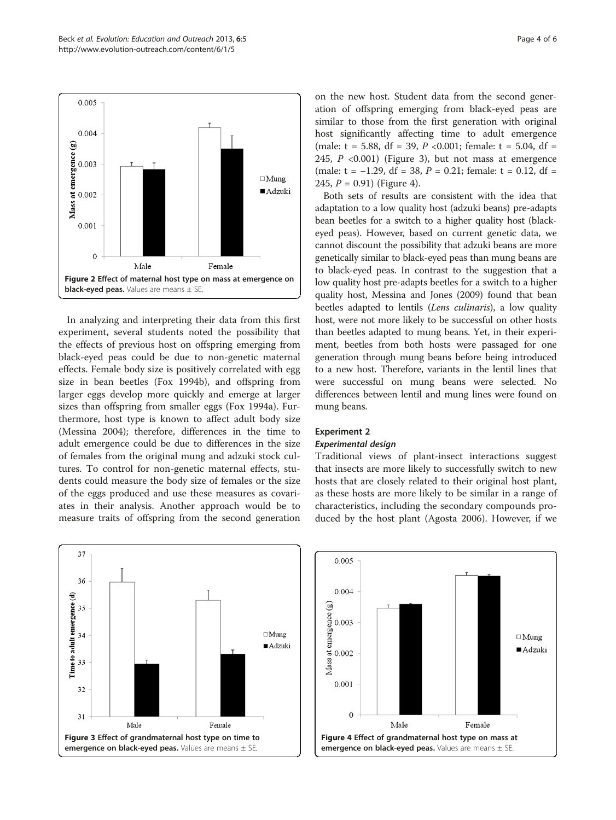<span id="page-3-0"></span>

In analyzing and interpreting their data from this first experiment, several students noted the possibility that the effects of previous host on offspring emerging from black-eyed peas could be due to non-genetic maternal effects. Female body size is positively correlated with egg size in bean beetles (Fox [1994b](#page-5-0)), and offspring from larger eggs develop more quickly and emerge at larger sizes than offspring from smaller eggs (Fox [1994a](#page-5-0)). Furthermore, host type is known to affect adult body size (Messina [2004\)](#page-5-0); therefore, differences in the time to adult emergence could be due to differences in the size of females from the original mung and adzuki stock cultures. To control for non-genetic maternal effects, students could measure the body size of females or the size of the eggs produced and use these measures as covariates in their analysis. Another approach would be to measure traits of offspring from the second generation



on the new host. Student data from the second generation of offspring emerging from black-eyed peas are similar to those from the first generation with original host significantly affecting time to adult emergence (male:  $t = 5.88$ , df = 39,  $P$  <0.001; female:  $t = 5.04$ , df = 245,  $P \le 0.001$ ) (Figure 3), but not mass at emergence (male:  $t = -1.29$ ,  $df = 38$ ,  $P = 0.21$ ; female:  $t = 0.12$ ,  $df =$ 245,  $P = 0.91$  (Figure 4).

Both sets of results are consistent with the idea that adaptation to a low quality host (adzuki beans) pre-adapts bean beetles for a switch to a higher quality host (blackeyed peas). However, based on current genetic data, we cannot discount the possibility that adzuki beans are more genetically similar to black-eyed peas than mung beans are to black-eyed peas. In contrast to the suggestion that a low quality host pre-adapts beetles for a switch to a higher quality host, Messina and Jones ([2009](#page-5-0)) found that bean beetles adapted to lentils (Lens culinaris), a low quality host, were not more likely to be successful on other hosts than beetles adapted to mung beans. Yet, in their experiment, beetles from both hosts were passaged for one generation through mung beans before being introduced to a new host. Therefore, variants in the lentil lines that were successful on mung beans were selected. No differences between lentil and mung lines were found on mung beans.

#### Experiment 2

#### Experimental design

Traditional views of plant-insect interactions suggest that insects are more likely to successfully switch to new hosts that are closely related to their original host plant, as these hosts are more likely to be similar in a range of characteristics, including the secondary compounds produced by the host plant (Agosta [2006\)](#page-5-0). However, if we

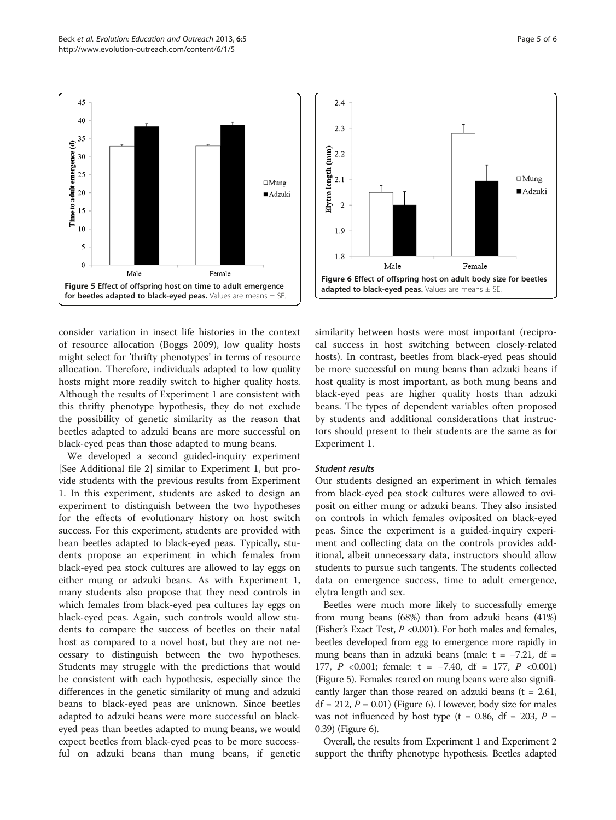

consider variation in insect life histories in the context of resource allocation (Boggs [2009](#page-5-0)), low quality hosts might select for 'thrifty phenotypes' in terms of resource allocation. Therefore, individuals adapted to low quality hosts might more readily switch to higher quality hosts. Although the results of Experiment 1 are consistent with this thrifty phenotype hypothesis, they do not exclude the possibility of genetic similarity as the reason that beetles adapted to adzuki beans are more successful on black-eyed peas than those adapted to mung beans.

We developed a second guided-inquiry experiment [See Additional file [2\]](#page-5-0) similar to Experiment 1, but provide students with the previous results from Experiment 1. In this experiment, students are asked to design an experiment to distinguish between the two hypotheses for the effects of evolutionary history on host switch success. For this experiment, students are provided with bean beetles adapted to black-eyed peas. Typically, students propose an experiment in which females from black-eyed pea stock cultures are allowed to lay eggs on either mung or adzuki beans. As with Experiment 1, many students also propose that they need controls in which females from black-eyed pea cultures lay eggs on black-eyed peas. Again, such controls would allow students to compare the success of beetles on their natal host as compared to a novel host, but they are not necessary to distinguish between the two hypotheses. Students may struggle with the predictions that would be consistent with each hypothesis, especially since the differences in the genetic similarity of mung and adzuki beans to black-eyed peas are unknown. Since beetles adapted to adzuki beans were more successful on blackeyed peas than beetles adapted to mung beans, we would expect beetles from black-eyed peas to be more successful on adzuki beans than mung beans, if genetic



similarity between hosts were most important (reciprocal success in host switching between closely-related hosts). In contrast, beetles from black-eyed peas should be more successful on mung beans than adzuki beans if host quality is most important, as both mung beans and black-eyed peas are higher quality hosts than adzuki beans. The types of dependent variables often proposed by students and additional considerations that instructors should present to their students are the same as for Experiment 1.

#### Student results

Our students designed an experiment in which females from black-eyed pea stock cultures were allowed to oviposit on either mung or adzuki beans. They also insisted on controls in which females oviposited on black-eyed peas. Since the experiment is a guided-inquiry experiment and collecting data on the controls provides additional, albeit unnecessary data, instructors should allow students to pursue such tangents. The students collected data on emergence success, time to adult emergence, elytra length and sex.

Beetles were much more likely to successfully emerge from mung beans (68%) than from adzuki beans (41%) (Fisher's Exact Test,  $P \le 0.001$ ). For both males and females, beetles developed from egg to emergence more rapidly in mung beans than in adzuki beans (male:  $t = -7.21$ , df = 177, P <0.001; female: t = −7.40, df = 177, P <0.001) (Figure 5). Females reared on mung beans were also significantly larger than those reared on adzuki beans ( $t = 2.61$ ,  $df = 212$ ,  $P = 0.01$ ) (Figure 6). However, body size for males was not influenced by host type (t = 0.86, df = 203,  $P =$ 0.39) (Figure 6).

Overall, the results from Experiment 1 and Experiment 2 support the thrifty phenotype hypothesis. Beetles adapted